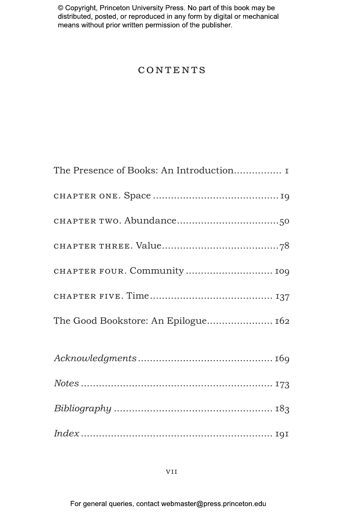# CONTENTS

| The Presence of Books: An Introduction I |
|------------------------------------------|
|                                          |
|                                          |
|                                          |
| CHAPTER FOUR. Community  109             |
|                                          |
| The Good Bookstore: An Epilogue 162      |
|                                          |
|                                          |
|                                          |
|                                          |
|                                          |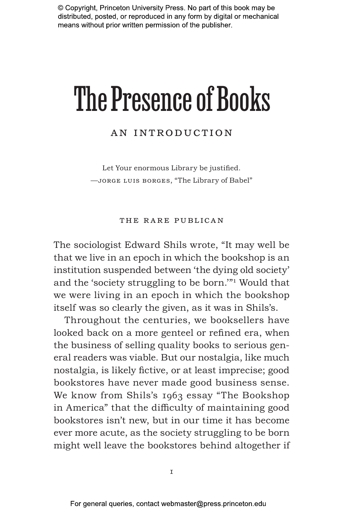# The Presence of Books

# An Introduction

Let Your enormous Library be justified. —jorge luis borges, "The Library of Babel"

#### The Rare Publican

The sociologist Edward Shils wrote, "It may well be that we live in an epoch in which the bookshop is an institution suspended between 'the dying old society' and the 'society struggling to be born.'"1 Would that we were living in an epoch in which the bookshop itself was so clearly the given, as it was in Shils's.

Throughout the centuries, we booksellers have looked back on a more genteel or refined era, when the business of selling quality books to serious general readers was viable. But our nostalgia, like much nostalgia, is likely fictive, or at least imprecise; good bookstores have never made good business sense. We know from Shils's 1963 essay "The Bookshop in America" that the difficulty of maintaining good bookstores isn't new, but in our time it has become ever more acute, as the society struggling to be born might well leave the bookstores behind altogether if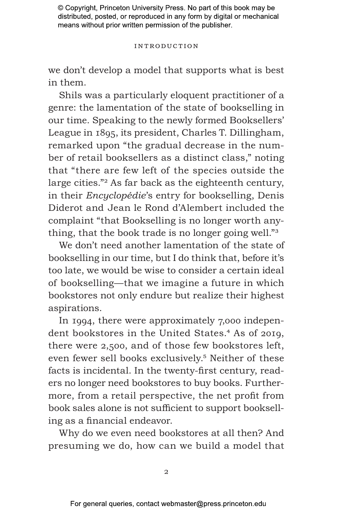#### Introduction

we don't develop a model that supports what is best in them.

Shils was a particularly eloquent practitioner of a genre: the lamentation of the state of bookselling in our time. Speaking to the newly formed Booksellers' League in 1895, its president, Charles T. Dillingham, remarked upon "the gradual decrease in the number of retail booksellers as a distinct class," noting that "there are few left of the species outside the large cities."2 As far back as the eighteenth century, in their *Encyclopédie*'s entry for bookselling, Denis Diderot and Jean le Rond d'Alembert included the complaint "that Bookselling is no longer worth anything, that the book trade is no longer going well."3

We don't need another lamentation of the state of bookselling in our time, but I do think that, before it's too late, we would be wise to consider a certain ideal of bookselling—that we imagine a future in which bookstores not only endure but realize their highest aspirations.

In 1994, there were approximately 7,000 independent bookstores in the United States.<sup>4</sup> As of 2019, there were 2,500, and of those few bookstores left, even fewer sell books exclusively.<sup>5</sup> Neither of these facts is incidental. In the twenty-first century, readers no longer need bookstores to buy books. Furthermore, from a retail perspective, the net profit from book sales alone is not sufficient to support bookselling as a financial endeavor.

Why do we even need bookstores at all then? And presuming we do, how can we build a model that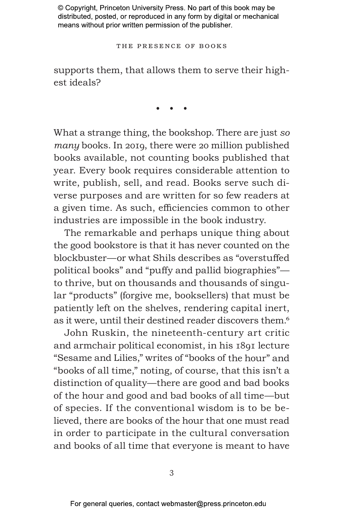The Presence of Books

supports them, that allows them to serve their highest ideals?

• • •

What a strange thing, the bookshop. There are just *so many* books. In 2019, there were 20 million published books available, not counting books published that year. Every book requires considerable attention to write, publish, sell, and read. Books serve such diverse purposes and are written for so few readers at a given time. As such, efficiencies common to other industries are impossible in the book industry.

The remarkable and perhaps unique thing about the good bookstore is that it has never counted on the blockbuster—or what Shils describes as "overstuffed political books" and "puffy and pallid biographies" to thrive, but on thousands and thousands of singular "products" (forgive me, booksellers) that must be patiently left on the shelves, rendering capital inert, as it were, until their destined reader discovers them.<sup>6</sup>

John Ruskin, the nineteenth-century art critic and armchair political economist, in his 1891 lecture "Sesame and Lilies," writes of "books of the hour" and "books of all time," noting, of course, that this isn't a distinction of quality—there are good and bad books of the hour and good and bad books of all time—but of species. If the conventional wisdom is to be believed, there are books of the hour that one must read in order to participate in the cultural conversation and books of all time that everyone is meant to have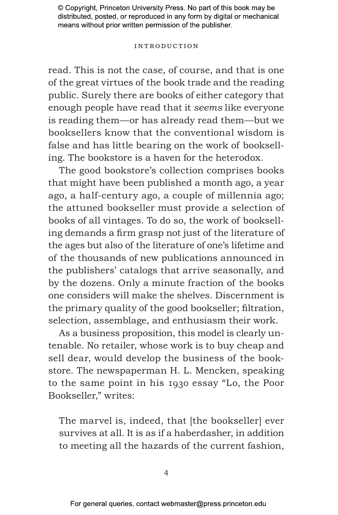#### Introduction

read. This is not the case, of course, and that is one of the great virtues of the book trade and the reading public. Surely there are books of either category that enough people have read that it *seems* like everyone is reading them—or has already read them—but we booksellers know that the conventional wisdom is false and has little bearing on the work of bookselling. The bookstore is a haven for the heterodox.

The good bookstore's collection comprises books that might have been published a month ago, a year ago, a half-century ago, a couple of millennia ago; the attuned bookseller must provide a selection of books of all vintages. To do so, the work of bookselling demands a firm grasp not just of the literature of the ages but also of the literature of one's lifetime and of the thousands of new publications announced in the publishers' catalogs that arrive seasonally, and by the dozens. Only a minute fraction of the books one considers will make the shelves. Discernment is the primary quality of the good bookseller; filtration, selection, assemblage, and enthusiasm their work.

As a business proposition, this model is clearly untenable. No retailer, whose work is to buy cheap and sell dear, would develop the business of the bookstore. The newspaperman H. L. Mencken, speaking to the same point in his 1930 essay "Lo, the Poor Bookseller," writes:

The marvel is, indeed, that [the bookseller] ever survives at all. It is as if a haberdasher, in addition to meeting all the hazards of the current fashion,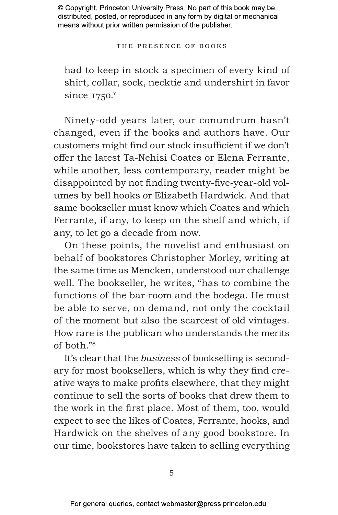The Presence of Books

had to keep in stock a specimen of every kind of shirt, collar, sock, necktie and undershirt in favor since 1750.<sup>7</sup>

Ninety-odd years later, our conundrum hasn't changed, even if the books and authors have. Our customers might find our stock insufficient if we don't offer the latest Ta-Nehisi Coates or Elena Ferrante, while another, less contemporary, reader might be disappointed by not finding twenty-five-year-old volumes by bell hooks or Elizabeth Hardwick. And that same bookseller must know which Coates and which Ferrante, if any, to keep on the shelf and which, if any, to let go a decade from now.

On these points, the novelist and enthusiast on behalf of bookstores Christopher Morley, writing at the same time as Mencken, understood our challenge well. The bookseller, he writes, "has to combine the functions of the bar-room and the bodega. He must be able to serve, on demand, not only the cocktail of the moment but also the scarcest of old vintages. How rare is the publican who understands the merits of both."8

It's clear that the *business* of bookselling is secondary for most booksellers, which is why they find creative ways to make profits elsewhere, that they might continue to sell the sorts of books that drew them to the work in the first place. Most of them, too, would expect to see the likes of Coates, Ferrante, hooks, and Hardwick on the shelves of any good bookstore. In our time, bookstores have taken to selling everything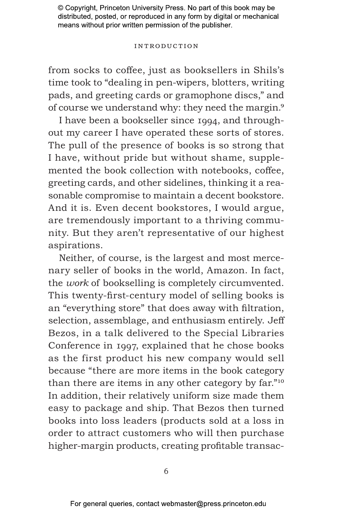#### Introduction

from socks to coffee, just as booksellers in Shils's time took to "dealing in pen-wipers, blotters, writing pads, and greeting cards or gramophone discs," and of course we understand why: they need the margin.9

I have been a bookseller since 1994, and throughout my career I have operated these sorts of stores. The pull of the presence of books is so strong that I have, without pride but without shame, supplemented the book collection with notebooks, coffee, greeting cards, and other sidelines, thinking it a reasonable compromise to maintain a decent bookstore. And it is. Even decent bookstores, I would argue, are tremendously important to a thriving community. But they aren't representative of our highest aspirations.

Neither, of course, is the largest and most mercenary seller of books in the world, Amazon. In fact, the *work* of bookselling is completely circumvented. This twenty-first-century model of selling books is an "everything store" that does away with filtration, selection, assemblage, and enthusiasm entirely. Jeff Bezos, in a talk delivered to the Special Libraries Conference in 1997, explained that he chose books as the first product his new company would sell because "there are more items in the book category than there are items in any other category by far."10 In addition, their relatively uniform size made them easy to package and ship. That Bezos then turned books into loss leaders (products sold at a loss in order to attract customers who will then purchase higher-margin products, creating profitable transac-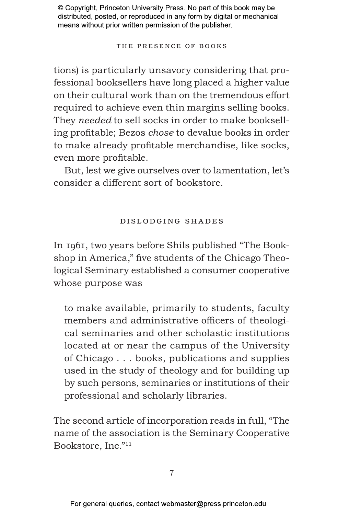The Presence of Books

tions) is particularly unsavory considering that professional booksellers have long placed a higher value on their cultural work than on the tremendous effort required to achieve even thin margins selling books. They *needed* to sell socks in order to make bookselling profitable; Bezos *chose* to devalue books in order to make already profitable merchandise, like socks, even more profitable.

But, lest we give ourselves over to lamentation, let's consider a different sort of bookstore.

## Dislodging Shades

In 1961, two years before Shils published "The Bookshop in America," five students of the Chicago Theological Seminary established a consumer cooperative whose purpose was

to make available, primarily to students, faculty members and administrative officers of theological seminaries and other scholastic institutions located at or near the campus of the University of Chicago . . . books, publications and supplies used in the study of theology and for building up by such persons, seminaries or institutions of their professional and scholarly libraries.

The second article of incorporation reads in full, "The name of the association is the Seminary Cooperative Bookstore, Inc."11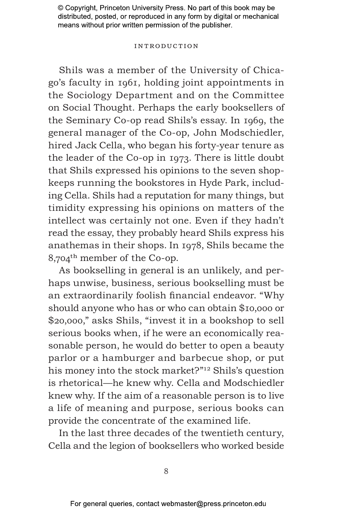#### Introduction

Shils was a member of the University of Chicago's faculty in 1961, holding joint appointments in the Sociology Department and on the Committee on Social Thought. Perhaps the early booksellers of the Seminary Co-op read Shils's essay. In 1969, the general manager of the Co-op, John Modschiedler, hired Jack Cella, who began his forty-year tenure as the leader of the Co-op in 1973. There is little doubt that Shils expressed his opinions to the seven shopkeeps running the bookstores in Hyde Park, including Cella. Shils had a reputation for many things, but timidity expressing his opinions on matters of the intellect was certainly not one. Even if they hadn't read the essay, they probably heard Shils express his anathemas in their shops. In 1978, Shils became the 8,704th member of the Co-op.

As bookselling in general is an unlikely, and perhaps unwise, business, serious bookselling must be an extraordinarily foolish financial endeavor. "Why should anyone who has or who can obtain \$10,000 or \$20,000," asks Shils, "invest it in a bookshop to sell serious books when, if he were an economically reasonable person, he would do better to open a beauty parlor or a hamburger and barbecue shop, or put his money into the stock market?"12 Shils's question is rhetorical—he knew why. Cella and Modschiedler knew why. If the aim of a reasonable person is to live a life of meaning and purpose, serious books can provide the concentrate of the examined life.

In the last three decades of the twentieth century, Cella and the legion of booksellers who worked beside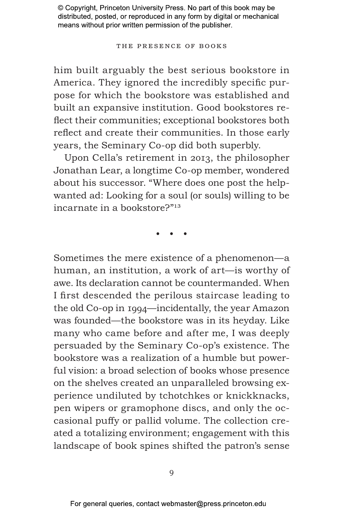#### The Presence of Books

him built arguably the best serious bookstore in America. They ignored the incredibly specific purpose for which the bookstore was established and built an expansive institution. Good bookstores reflect their communities; exceptional bookstores both reflect and create their communities. In those early years, the Seminary Co-op did both superbly.

Upon Cella's retirement in 2013, the philosopher Jonathan Lear, a longtime Co-op member, wondered about his successor. "Where does one post the helpwanted ad: Looking for a soul (or souls) willing to be incarnate in a bookstore?"13

• • •

Sometimes the mere existence of a phenomenon—a human, an institution, a work of art—is worthy of awe. Its declaration cannot be countermanded. When I first descended the perilous staircase leading to the old Co-op in 1994—incidentally, the year Amazon was founded—the bookstore was in its heyday. Like many who came before and after me, I was deeply persuaded by the Seminary Co-op's existence. The bookstore was a realization of a humble but powerful vision: a broad selection of books whose presence on the shelves created an unparalleled browsing experience undiluted by tchotchkes or knickknacks, pen wipers or gramophone discs, and only the occasional puffy or pallid volume. The collection created a totalizing environment; engagement with this landscape of book spines shifted the patron's sense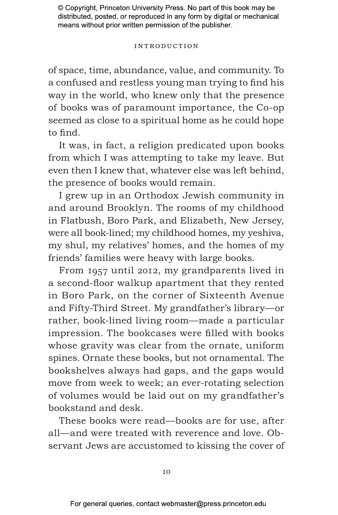#### Introduction

of space, time, abundance, value, and community. To a confused and restless young man trying to find his way in the world, who knew only that the presence of books was of paramount importance, the Co-op seemed as close to a spiritual home as he could hope to find.

It was, in fact, a religion predicated upon books from which I was attempting to take my leave. But even then I knew that, whatever else was left behind, the presence of books would remain.

I grew up in an Orthodox Jewish community in and around Brooklyn. The rooms of my childhood in Flatbush, Boro Park, and Elizabeth, New Jersey, were all book-lined; my childhood homes, my yeshiva, my shul, my relatives' homes, and the homes of my friends' families were heavy with large books.

From 1957 until 2012, my grandparents lived in a second-floor walkup apartment that they rented in Boro Park, on the corner of Sixteenth Avenue and Fifty-Third Street. My grandfather's library—or rather, book-lined living room—made a particular impression. The bookcases were filled with books whose gravity was clear from the ornate, uniform spines. Ornate these books, but not ornamental. The bookshelves always had gaps, and the gaps would move from week to week; an ever-rotating selection of volumes would be laid out on my grandfather's bookstand and desk.

These books were read—books are for use, after all—and were treated with reverence and love. Observant Jews are accustomed to kissing the cover of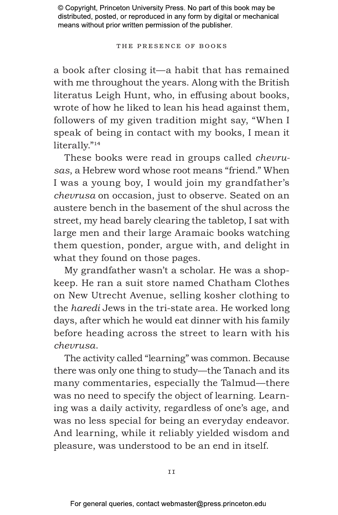#### The Presence of Books

a book after closing it—a habit that has remained with me throughout the years. Along with the British literatus Leigh Hunt, who, in effusing about books, wrote of how he liked to lean his head against them, followers of my given tradition might say, "When I speak of being in contact with my books, I mean it literally."14

These books were read in groups called *chevrusas*, a Hebrew word whose root means "friend." When I was a young boy, I would join my grandfather's *chevrusa* on occasion, just to observe. Seated on an austere bench in the basement of the shul across the street, my head barely clearing the tabletop, I sat with large men and their large Aramaic books watching them question, ponder, argue with, and delight in what they found on those pages.

My grandfather wasn't a scholar. He was a shopkeep. He ran a suit store named Chatham Clothes on New Utrecht Avenue, selling kosher clothing to the *haredi* Jews in the tri-state area. He worked long days, after which he would eat dinner with his family before heading across the street to learn with his *chevrusa*.

The activity called "learning" was common. Because there was only one thing to study—the Tanach and its many commentaries, especially the Talmud—there was no need to specify the object of learning. Learning was a daily activity, regardless of one's age, and was no less special for being an everyday endeavor. And learning, while it reliably yielded wisdom and pleasure, was understood to be an end in itself.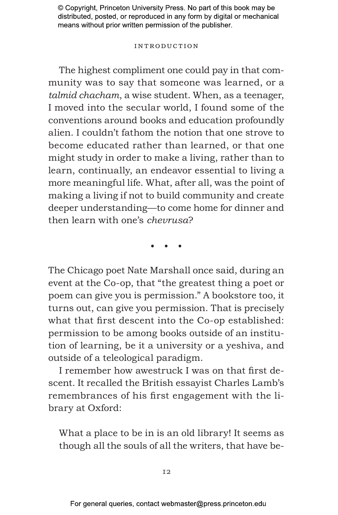#### Introduction

The highest compliment one could pay in that community was to say that someone was learned, or a *talmid chacham*, a wise student. When, as a teenager, I moved into the secular world, I found some of the conventions around books and education profoundly alien. I couldn't fathom the notion that one strove to become educated rather than learned, or that one might study in order to make a living, rather than to learn, continually, an endeavor essential to living a more meaningful life. What, after all, was the point of making a living if not to build community and create deeper understanding—to come home for dinner and then learn with one's *chevrusa*?

• • •

The Chicago poet Nate Marshall once said, during an event at the Co-op, that "the greatest thing a poet or poem can give you is permission." A bookstore too, it turns out, can give you permission. That is precisely what that first descent into the Co-op established: permission to be among books outside of an institution of learning, be it a university or a yeshiva, and outside of a teleological paradigm.

I remember how awestruck I was on that first descent. It recalled the British essayist Charles Lamb's remembrances of his first engagement with the library at Oxford:

What a place to be in is an old library! It seems as though all the souls of all the writers, that have be-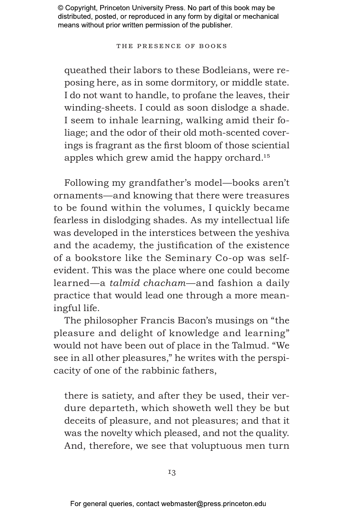#### The Presence of Books

queathed their labors to these Bodleians, were reposing here, as in some dormitory, or middle state. I do not want to handle, to profane the leaves, their winding-sheets. I could as soon dislodge a shade. I seem to inhale learning, walking amid their foliage; and the odor of their old moth-scented coverings is fragrant as the first bloom of those sciential apples which grew amid the happy orchard.15

Following my grandfather's model—books aren't ornaments—and knowing that there were treasures to be found within the volumes, I quickly became fearless in dislodging shades. As my intellectual life was developed in the interstices between the yeshiva and the academy, the justification of the existence of a bookstore like the Seminary Co-op was selfevident. This was the place where one could become learned—a *talmid chacham*—and fashion a daily practice that would lead one through a more meaningful life.

The philosopher Francis Bacon's musings on "the pleasure and delight of knowledge and learning" would not have been out of place in the Talmud. "We see in all other pleasures," he writes with the perspicacity of one of the rabbinic fathers,

there is satiety, and after they be used, their verdure departeth, which showeth well they be but deceits of pleasure, and not pleasures; and that it was the novelty which pleased, and not the quality. And, therefore, we see that voluptuous men turn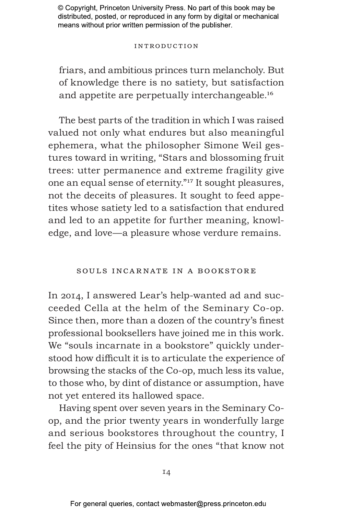#### Introduction

friars, and ambitious princes turn melancholy. But of knowledge there is no satiety, but satisfaction and appetite are perpetually interchangeable.16

The best parts of the tradition in which I was raised valued not only what endures but also meaningful ephemera, what the philosopher Simone Weil gestures toward in writing, "Stars and blossoming fruit trees: utter permanence and extreme fragility give one an equal sense of eternity."17 It sought pleasures, not the deceits of pleasures. It sought to feed appetites whose satiety led to a satisfaction that endured and led to an appetite for further meaning, knowledge, and love—a pleasure whose verdure remains.

## Souls Incarnate in a Bookstore

In 2014, I answered Lear's help-wanted ad and succeeded Cella at the helm of the Seminary Co-op. Since then, more than a dozen of the country's finest professional booksellers have joined me in this work. We "souls incarnate in a bookstore" quickly understood how difficult it is to articulate the experience of browsing the stacks of the Co-op, much less its value, to those who, by dint of distance or assumption, have not yet entered its hallowed space.

Having spent over seven years in the Seminary Coop, and the prior twenty years in wonderfully large and serious bookstores throughout the country, I feel the pity of Heinsius for the ones "that know not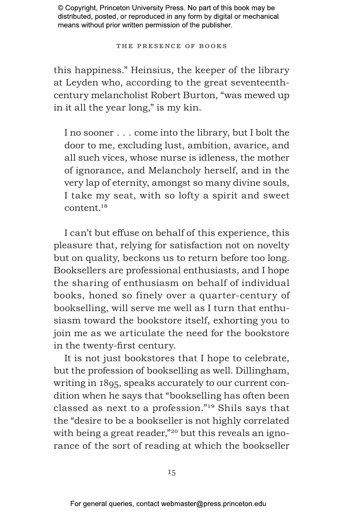The Presence of Books

this happiness." Heinsius, the keeper of the library at Leyden who, according to the great seventeenthcentury melancholist Robert Burton, "was mewed up in it all the year long," is my kin.

I no sooner . . . come into the library, but I bolt the door to me, excluding lust, ambition, avarice, and all such vices, whose nurse is idleness, the mother of ignorance, and Melancholy herself, and in the very lap of eternity, amongst so many divine souls, I take my seat, with so lofty a spirit and sweet content.18

I can't but effuse on behalf of this experience, this pleasure that, relying for satisfaction not on novelty but on quality, beckons us to return before too long. Booksellers are professional enthusiasts, and I hope the sharing of enthusiasm on behalf of individual books, honed so finely over a quarter-century of bookselling, will serve me well as I turn that enthusiasm toward the bookstore itself, exhorting you to join me as we articulate the need for the bookstore in the twenty-first century.

It is not just bookstores that I hope to celebrate, but the profession of bookselling as well. Dillingham, writing in 1895, speaks accurately to our current condition when he says that "bookselling has often been classed as next to a profession."19 Shils says that the "desire to be a bookseller is not highly correlated with being a great reader,"<sup>20</sup> but this reveals an ignorance of the sort of reading at which the bookseller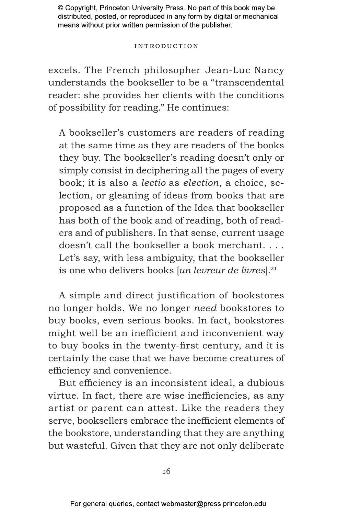#### Introduction

excels. The French philosopher Jean-Luc Nancy understands the bookseller to be a "transcendental reader: she provides her clients with the conditions of possibility for reading." He continues:

A bookseller's customers are readers of reading at the same time as they are readers of the books they buy. The bookseller's reading doesn't only or simply consist in deciphering all the pages of every book; it is also a *lectio* as *election*, a choice, selection, or gleaning of ideas from books that are proposed as a function of the Idea that bookseller has both of the book and of reading, both of readers and of publishers. In that sense, current usage doesn't call the bookseller a book merchant. . . . Let's say, with less ambiguity, that the bookseller is one who delivers books [*un levreur de livres*].<sup>21</sup>

A simple and direct justification of bookstores no longer holds. We no longer *need* bookstores to buy books, even serious books. In fact, bookstores might well be an inefficient and inconvenient way to buy books in the twenty-first century, and it is certainly the case that we have become creatures of efficiency and convenience.

But efficiency is an inconsistent ideal, a dubious virtue. In fact, there are wise inefficiencies, as any artist or parent can attest. Like the readers they serve, booksellers embrace the inefficient elements of the bookstore, understanding that they are anything but wasteful. Given that they are not only deliberate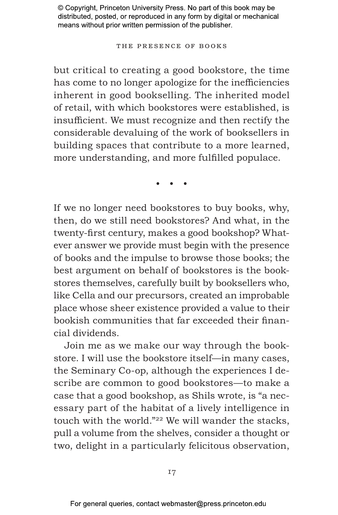#### The Presence of Books

but critical to creating a good bookstore, the time has come to no longer apologize for the inefficiencies inherent in good bookselling. The inherited model of retail, with which bookstores were established, is insufficient. We must recognize and then rectify the considerable devaluing of the work of booksellers in building spaces that contribute to a more learned, more understanding, and more fulfilled populace.

• • •

If we no longer need bookstores to buy books, why, then, do we still need bookstores? And what, in the twenty-first century, makes a good bookshop? Whatever answer we provide must begin with the presence of books and the impulse to browse those books; the best argument on behalf of bookstores is the bookstores themselves, carefully built by booksellers who, like Cella and our precursors, created an improbable place whose sheer existence provided a value to their bookish communities that far exceeded their financial dividends.

Join me as we make our way through the bookstore. I will use the bookstore itself—in many cases, the Seminary Co-op, although the experiences I describe are common to good bookstores—to make a case that a good bookshop, as Shils wrote, is "a necessary part of the habitat of a lively intelligence in touch with the world."22 We will wander the stacks, pull a volume from the shelves, consider a thought or two, delight in a particularly felicitous observation,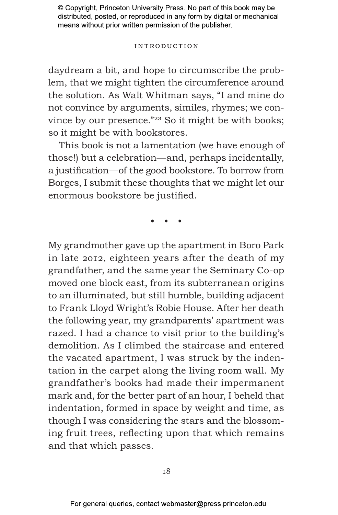#### Introduction

daydream a bit, and hope to circumscribe the problem, that we might tighten the circumference around the solution. As Walt Whitman says, "I and mine do not convince by arguments, similes, rhymes; we convince by our presence."23 So it might be with books; so it might be with bookstores.

This book is not a lamentation (we have enough of those!) but a celebration—and, perhaps incidentally, a justification—of the good bookstore. To borrow from Borges, I submit these thoughts that we might let our enormous bookstore be justified.

• • •

My grandmother gave up the apartment in Boro Park in late 2012, eighteen years after the death of my grandfather, and the same year the Seminary Co-op moved one block east, from its subterranean origins to an illuminated, but still humble, building adjacent to Frank Lloyd Wright's Robie House. After her death the following year, my grandparents' apartment was razed. I had a chance to visit prior to the building's demolition. As I climbed the staircase and entered the vacated apartment, I was struck by the indentation in the carpet along the living room wall. My grandfather's books had made their impermanent mark and, for the better part of an hour, I beheld that indentation, formed in space by weight and time, as though I was considering the stars and the blossoming fruit trees, reflecting upon that which remains and that which passes.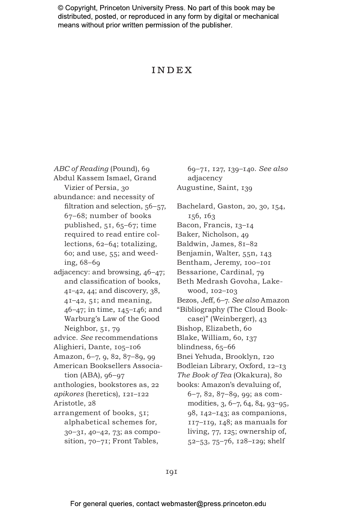## Index

*ABC of Reading* (Pound), 69 Abdul Kassem Ismael, Grand Vizier of Persia, 30 abundance: and necessity of filtration and selection, 56–57, 67–68; number of books published, 51, 65–67; time required to read entire collections, 62–64; totalizing, 60; and use, 55; and weeding, 68–69 adjacency: and browsing, 46–47; and classification of books, 41–42, 44; and discovery, 38, 41–42, 51; and meaning, 46–47; in time, 145–146; and Warburg's Law of the Good Neighbor, 51, 79 advice. *See* recommendations Alighieri, Dante, 105–106 Amazon, 6–7, 9, 82, 87–89, 99 American Booksellers Association (ABA), 96–97 anthologies, bookstores as, 22 *apikores* (heretics), 121–122 Aristotle, 28 arrangement of books, 51; alphabetical schemes for, 30–31, 40–42, 73; as composition, 70–71; Front Tables,

69–71, 127, 139–140. *See also* adjacency Augustine, Saint, 139 Bachelard, Gaston, 20, 30, 154, 156, 163 Bacon, Francis, 13–14 Baker, Nicholson, 49 Baldwin, James, 81–82 Benjamin, Walter, 55n, 143 Bentham, Jeremy, 100–101 Bessarione, Cardinal, 79 Beth Medrash Govoha, Lakewood, 102–103 Bezos, Jeff, 6–7. *See also* Amazon "Bibliography (The Cloud Bookcase)" (Weinberger), 43 Bishop, Elizabeth, 60 Blake, William, 60, 137 blindness, 65–66 Bnei Yehuda, Brooklyn, 120 Bodleian Library, Oxford, 12–13 *The Book of Tea* (Okakura), 80 books: Amazon's devaluing of, 6–7, 82, 87–89, 99; as commodities, 3, 6–7, 64, 84, 93–95, 98, 142–143; as companions, 117–119, 148; as manuals for living, 77, 125; ownership of, 52–53, 75–76, 128–129; shelf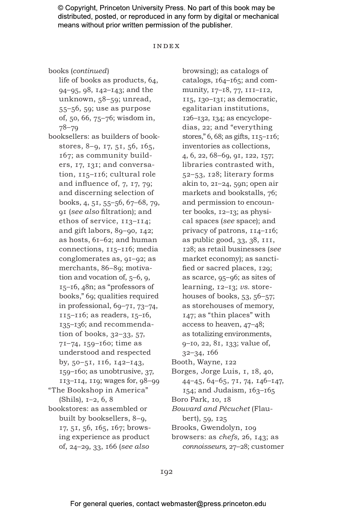#### Index

books (*continued*)

life of books as products, 64, 94–95, 98, 142–143; and the unknown, 58–59; unread, 55–56, 59; use as purpose of, 50, 66, 75–76; wisdom in, 78–79

- booksellers: as builders of bookstores, 8–9, 17, 51, 56, 165, 167; as community builders, 17, 131; and conversation, 115–116; cultural role and influence of, 7, 17, 79; and discerning selection of books, 4, 51, 55–56, 67–68, 79, 91 (*see also* filtration); and ethos of service, 113–114; and gift labors, 89–90, 142; as hosts, 61–62; and human connections, 115–116; media conglomerates as, 91–92; as merchants, 86–89; motivation and vocation of, 5–6, 9, 15–16, 48n; as "professors of books," 69; qualities required in professional, 69–71, 73–74, 115–116; as readers, 15–16, 135–136; and recommendation of books, 32–33, 57, 71–74, 159–160; time as understood and respected by, 50–51, 116, 142–143, 159–160; as unobtrusive, 37, 113–114, 119; wages for, 98–99 "The Bookshop in America" (Shils), 1–2, 6, 8
- bookstores: as assembled or built by booksellers, 8–9, 17, 51, 56, 165, 167; browsing experience as product of, 24–29, 33, 166 (*see also*

browsing); as catalogs of catalogs, 164–165; and community, 17–18, 77, 111–112, 115, 130–131; as democratic, egalitarian institutions, 126–132, 134; as encyclopedias, 22; and "everything stores," 6, 68; as gifts, 115–116; inventories as collections, 4, 6, 22, 68–69, 91, 122, 157; libraries contrasted with, 52–53, 128; literary forms akin to, 21–24, 59n; open air markets and bookstalls, 76; and permission to encounter books, 12–13; as physical spaces (*see* space); and privacy of patrons, 114–116; as public good, 33, 38, 111, 128; as retail businesses (*see* market economy); as sanctified or sacred places, 129; as scarce, 95–96; as sites of learning, 12–13; *vs.* storehouses of books,  $53, 56-57$ ; as storehouses of memory, 147; as "thin places" with access to heaven, 47–48; as totalizing environments, 9–10, 22, 81, 133; value of, 32–34, 166

Booth, Wayne, 122

- Borges, Jorge Luis, 1, 18, 40, 44–45, 64–65, 71, 74, 146–147, 154; and Judaism, 163–165
- Boro Park, 10, 18
- *Bouvard and Pécuchet* (Flaubert), 59, 125
- Brooks, Gwendolyn, 109
- browsers: as *chefs,* 26, 143; as *connoisseurs,* 27–28; customer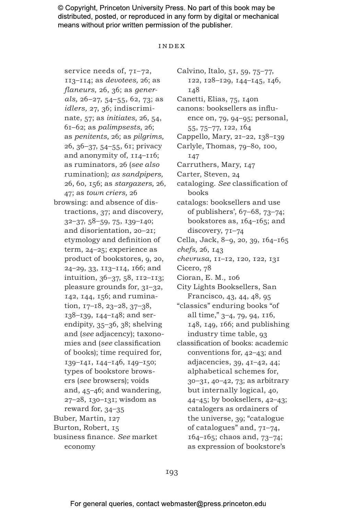#### Index

service needs of, 71–72, 113–114; as *devotees,* 26; as *flaneurs,* 26, 36; as *generals,* 26–27, 54–55, 62, 73; as *idlers,* 27, 36; indiscriminate, 57; as *initiates,* 26, 54, 61–62; as *palimpsests,* 26; as *penitents,* 26; as *pilgrims,* 26, 36–37, 54–55, 61; privacy and anonymity of, 114–116; as ruminators, 26 (*see also* rumination); *as sandpipers,* 26, 60, 156; as *stargazers,* 26, 47; as *town criers,* 26 browsing: and absence of distractions, 37; and discovery, 32–37, 58–59, 75, 139–140; and disorientation, 20–21; etymology and definition of term, 24–25; experience as product of bookstores, 9, 20, 24–29, 33, 113–114, 166; and intuition, 36–37, 58, 112–113; pleasure grounds for, 31–32, 142, 144, 156; and rumination, 17–18, 23–28, 37–38, 138–139, 144–148; and serendipity, 35–36, 38; shelving and (*see* adjacency); taxonomies and (*see* classification of books); time required for, 139–141, 144–146, 149–150; types of bookstore browsers (*see* browsers); voids and, 45–46; and wandering, 27–28, 130–131; wisdom as reward for, 34–35 Buber, Martin, 127 Burton, Robert, 15 business finance. *See* market economy

Calvino, Italo, 51, 59, 75–77, 122, 128–129, 144–145, 146, 148 Canetti, Elias, 75, 140n canons: booksellers as influence on, 79, 94–95; personal, 55, 75–77, 122, 164 Cappello, Mary, 21–22, 138–139 Carlyle, Thomas, 79–80, 100, 147 Carruthers, Mary, 147 Carter, Steven, 24 cataloging. *See* classification of books catalogs: booksellers and use of publishers', 67–68, 73–74; bookstores as, 164–165; and discovery, 71–74 Cella, Jack, 8–9, 20, 39, 164–165 *chefs,* 26, 143 *chevrusa,* 11–12, 120, 122, 131 Cicero, 78 Cioran, E. M., 106 City Lights Booksellers, San Francisco, 43, 44, 48, 95 "classics" enduring books "of all time," 3–4, 79, 94, 116, 148, 149, 166; and publishing industry time table, 93 classification of books: academic conventions for, 42–43; and adjacencies, 39, 41–42, 44; alphabetical schemes for, 30–31, 40–42, 73; as arbitrary but internally logical, 40, 44–45; by booksellers, 42–43; catalogers as ordainers of the universe, 39; "catalogue of catalogues" and, 71–74, 164–165; chaos and, 73–74; as expression of bookstore's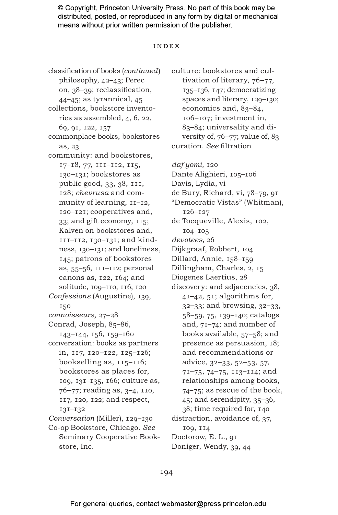#### Index

classification of books (*continued*) philosophy, 42–43; Perec on, 38–39; reclassification, 44–45; as tyrannical, 45 collections, bookstore inventories as assembled, 4, 6, 22, 69, 91, 122, 157 commonplace books, bookstores as, 23 community: and bookstores, 17–18, 77, 111–112, 115, 130–131; bookstores as public good, 33, 38, 111, 128; *chevrusa* and community of learning, 11–12, 120–121; cooperatives and, 33; and gift economy, 115; Kalven on bookstores and, 111–112, 130–131; and kindness, 130–131; and loneliness, 145; patrons of bookstores as, 55–56, 111–112; personal canons as, 122, 164; and solitude, 109–110, 116, 120 *Confessions* (Augustine), 139, 150 *connoisseurs,* 27–28 Conrad, Joseph, 85–86, 143–144, 156, 159–160 conversation: books as partners in, 117, 120–122, 125–126; bookselling as, 115–116; bookstores as places for, 109, 131–135, 166; culture as, 76–77; reading as, 3–4, 110, 117, 120, 122; and respect, 131–132 *Conversation* (Miller), 129–130 Co-op Bookstore, Chicago. *See* Seminary Cooperative Book-

store, Inc.

tivation of literary, 76–77, 135–136, 147; democratizing spaces and literary, 129–130; economics and, 83–84, 106–107; investment in, 83–84; universality and diversity of, 76–77; value of, 83 curation. *See* filtration *daf yomi,* 120 Dante Alighieri, 105–106 Davis, Lydia, vi de Bury, Richard, vi, 78–79, 91 "Democratic Vistas" (Whitman), 126–127 de Tocqueville, Alexis, 102, 104–105 *devotees,* 26 Dijkgraaf, Robbert, 104 Dillard, Annie, 158–159 Dillingham, Charles, 2, 15 Diogenes Laertius, 28 discovery: and adjacencies, 38, 41–42, 51; algorithms for, 32–33; and browsing, 32–33, 58–59, 75, 139–140; catalogs and, 71–74; and number of books available, 57–58; and presence as persuasion, 18; and recommendations or advice, 32–33, 52–53, 57, 71–75, 74–75, 113–114; and relationships among books, 74–75; as rescue of the book, 45; and serendipity, 35–36, 38; time required for, 140 distraction, avoidance of, 37, 109, 114 Doctorow, E. L., 91 Doniger, Wendy, 39, 44

culture: bookstores and cul-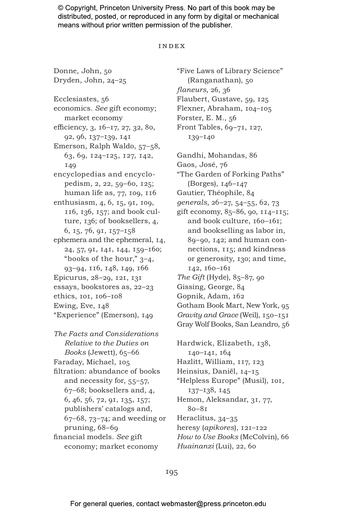#### Index

Donne, John, 50 Dryden, John, 24–25

Ecclesiastes, 56 economics. *See* gift economy; market economy efficiency, 3, 16–17, 27, 32, 80, 92, 96, 137–139, 141 Emerson, Ralph Waldo, 57–58, 63, 69, 124–125, 127, 142, 149 encyclopedias and encyclopedism, 2, 22, 59–60, 125; human life as, 77, 109, 116 enthusiasm, 4, 6, 15, 91, 109, 116, 136, 157; and book culture, 136; of booksellers, 4, 6, 15, 76, 91, 157–158 ephemera and the ephemeral, 14, 24, 57, 91, 141, 144, 159–160; "books of the hour," 3–4, 93–94, 116, 148, 149, 166 Epicurus, 28–29, 121, 131 essays, bookstores as, 22–23 ethics, 101, 106–108 Ewing, Eve, 148 "Experience" (Emerson), 149

*The Facts and Considerations Relative to the Duties on Books* (Jewett), 65–66 Faraday, Michael, 105 filtration: abundance of books and necessity for, 55–57, 67–68; booksellers and, 4, 6, 46, 56, 72, 91, 135, 157; publishers' catalogs and, 67–68, 73–74; and weeding or pruning, 68–69 financial models. *See* gift economy; market economy

"Five Laws of Library Science" (Ranganathan), 50 *flaneurs,* 26, 36 Flaubert, Gustave, 59, 125 Flexner, Abraham, 104–105 Forster, E. M., 56 Front Tables, 69–71, 127, 139–140

Gandhi, Mohandas, 86 Gaos, José, 76 "The Garden of Forking Paths" (Borges), 146–147 Gautier, Théophile, 84 *generals,* 26–27, 54–55, 62, 73 gift economy, 85–86, 90, 114–115; and book culture, 160–161; and bookselling as labor in, 89–90, 142; and human connections, 115; and kindness or generosity, 130; and time, 142, 160–161 *The Gift* (Hyde), 85–87, 90 Gissing, George, 84 Gopnik, Adam, 162 Gotham Book Mart, New York, 95 *Gravity and Grace* (Weil), 150–151 Gray Wolf Books, San Leandro, 56

Hardwick, Elizabeth, 138, 140–141, 164 Hazlitt, William, 117, 123 Heinsius, Daniël, 14–15 "Helpless Europe" (Musil), 101, 137–138, 145 Hemon, Aleksandar, 31, 77, 80–81 Heraclitus, 34–35 heresy (*apikores*), 121–122 *How to Use Books* (McColvin), 66 *Huainanzi* (Lui), 22, 60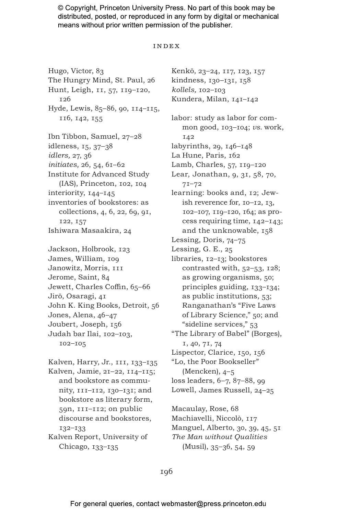#### Index

Hugo, Victor, 83 The Hungry Mind, St. Paul, 26 Hunt, Leigh, 11, 57, 119–120, 126 Hyde, Lewis, 85–86, 90, 114–115, 116, 142, 155 Ibn Tibbon, Samuel, 27–28 idleness, 15, 37–38 *idlers,* 27, 36 *initiates,* 26, 54, 61–62 Institute for Advanced Study (IAS), Princeton, 102, 104 interiority, 144–145 inventories of bookstores: as collections, 4, 6, 22, 69, 91, 122, 157 Ishiwara Masaakira, 24 Jackson, Holbrook, 123 James, William, 109 Janowitz, Morris, 111 Jerome, Saint, 84 Jewett, Charles Coffin, 65–66 Jirō, Osaragi, 41 John K. King Books, Detroit, 56 Jones, Alena, 46–47 Joubert, Joseph, 156 Judah bar Ilai, 102–103, 102–105 Kalven, Harry, Jr., 111, 133–135 Kalven, Jamie, 21–22, 114–115; and bookstore as commu-

nity, 111–112, 130–131; and bookstore as literary form, 59n, 111–112; on public discourse and bookstores, 132–133

Kalven Report, University of Chicago, 133–135

Kenkō, 23–24, 117, 123, 157 kindness, 130–131, 158 *kollels,* 102–103 Kundera, Milan, 141–142 labor: study as labor for common good, 103–104; *vs.* work, 142 labyrinths, 29, 146–148 La Hune, Paris, 162 Lamb, Charles, 57, 119–120 Lear, Jonathan, 9, 31, 58, 70, 71–72 learning: books and, 12; Jewish reverence for, 10–12, 13, 102–107, 119–120, 164; as process requiring time, 142–143; and the unknowable, 158 Lessing, Doris, 74–75 Lessing, G. E., 25 libraries, 12–13; bookstores contrasted with, 52–53, 128; as growing organisms, 50; principles guiding, 133–134; as public institutions, 53; Ranganathan's "Five Laws of Library Science," 50; and "sideline services," 53 "The Library of Babel" (Borges), 1, 40, 71, 74 Lispector, Clarice, 150, 156 "Lo, the Poor Bookseller" (Mencken), 4–5 loss leaders, 6–7, 87–88, 99 Lowell, James Russell, 24–25 Macaulay, Rose, 68

Machiavelli, Niccolò, 117 Manguel, Alberto, 30, 39, 45, 51 *The Man without Qualities* (Musil), 35–36, 54, 59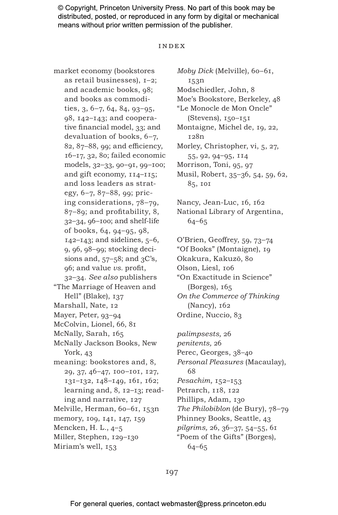#### Index

market economy (bookstores as retail businesses), 1–2; and academic books, 98; and books as commodities, 3, 6–7, 64, 84, 93–95, 98, 142–143; and cooperative financial model, 33; and devaluation of books, 6–7, 82, 87–88, 99; and efficiency, 16–17, 32, 80; failed economic models, 32–33, 90–91, 99–100; and gift economy, 114–115; and loss leaders as strategy, 6–7, 87–88, 99; pricing considerations, 78–79, 87–89; and profitability, 8, 32–34, 96–100; and shelf-life of books, 64, 94–95, 98,  $142 - 143$ ; and sidelines,  $5 - 6$ , 9, 96, 98–99; stocking decisions and,  $57-58$ ; and  $3C$ 's, 96; and value *vs.* profit, 32–34. *See also* publishers "The Marriage of Heaven and Hell" (Blake), 137 Marshall, Nate, 12 Mayer, Peter, 93-94 McColvin, Lionel, 66, 81 McNally, Sarah, 165 McNally Jackson Books, New York, 43 meaning: bookstores and, 8, 29, 37, 46–47, 100–101, 127, 131–132, 148–149, 161, 162; learning and, 8, 12–13; reading and narrative, 127 Melville, Herman, 60–61, 153n memory, 109, 141, 147, 159 Mencken, H. L., 4–5 Miller, Stephen, 129–130 Miriam's well, 153

*Moby Dick* (Melville), 60–61, 153n Modschiedler, John, 8 Moe's Bookstore, Berkeley, 48 "Le Monocle de Mon Oncle" (Stevens), 150–151 Montaigne, Michel de, 19, 22, 128n Morley, Christopher, vi, 5, 27, 55, 92, 94–95, 114 Morrison, Toni, 95, 97 Musil, Robert, 35–36, 54, 59, 62, 85, 101 Nancy, Jean-Luc, 16, 162 National Library of Argentina, 64–65 O'Brien, Geoffrey, 59, 73–74 "Of Books" (Montaigne), 19 Okakura, Kakuzō, 80 Olson, Liesl, 106 "On Exactitude in Science" (Borges), 165 *On the Commerce of Thinking* (Nancy), 162 Ordine, Nuccio, 83 *palimpsests,* 26 *penitents,* 26 Perec, Georges, 38–40 *Personal Pleasures* (Macaulay), 68 *Pesachim,* 152–153 Petrarch, 118, 122

197

Phillips, Adam, 130

64–65

*The Philobiblon* (de Bury), 78–79 Phinney Books, Seattle, 43 *pilgrims,* 26, 36–37, 54–55, 61 "Poem of the Gifts" (Borges),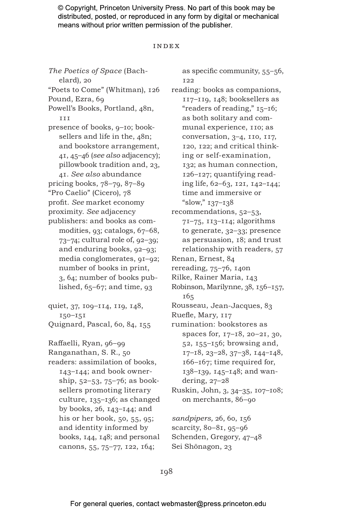#### Index

*The Poetics of Space* (Bachelard), 20 "Poets to Come" (Whitman), 126 Pound, Ezra, 69 Powell's Books, Portland, 48n, 111 presence of books, 9–10; booksellers and life in the,  $48n$ ; and bookstore arrangement, 41, 45–46 (*see also* adjacency); pillowbook tradition and, 23, 41. *See also* abundance pricing books, 78–79, 87–89 "Pro Caelio" (Cicero), 78 profit. *See* market economy proximity. *See* adjacency publishers: and books as commodities, 93; catalogs, 67–68, 73–74; cultural role of, 92–39; and enduring books, 92–93; media conglomerates, 91–92; number of books in print, 3, 64; number of books published,  $65-67$ ; and time,  $93$ quiet, 37, 109–114, 119, 148, 150–151 Quignard, Pascal, 60, 84, 155 Raffaelli, Ryan, 96–99 Ranganathan, S. R., 50 readers: assimilation of books, 143–144; and book ownership, 52–53, 75–76; as booksellers promoting literary culture, 135–136; as changed by books, 26, 143–144; and his or her book, 50, 55, 95; and identity informed by books, 144, 148; and personal canons, 55, 75–77, 122, 164;

as specific community, 55–56, 122 reading: books as companions, 117–119, 148; booksellers as "readers of reading," 15–16; as both solitary and communal experience, 110; as conversation, 3–4, 110, 117, 120, 122; and critical thinking or self-examination, 132; as human connection, 126–127; quantifying reading life, 62–63, 121, 142–144; time and immersive or "slow," 137–138 recommendations, 52–53, 71–75, 113–114; algorithms to generate, 32–33; presence as persuasion, 18; and trust relationship with readers, 57 Renan, Ernest, 84 rereading, 75–76, 140n Rilke, Rainer Maria, 143 Robinson, Marilynne, 38, 156–157, 165 Rousseau, Jean-Jacques, 83 Ruefle, Mary, 117 rumination: bookstores as spaces for, 17–18, 20–21, 30, 52, 155–156; browsing and, 17–18, 23–28, 37–38, 144–148, 166–167; time required for, 138–139, 145–148; and wandering, 27–28 Ruskin, John, 3, 34–35, 107–108; on merchants, 86–90 *sandpipers,* 26, 60, 156 scarcity, 80–81, 95–96 Schenden, Gregory, 47–48 Sei Shōnagon, 23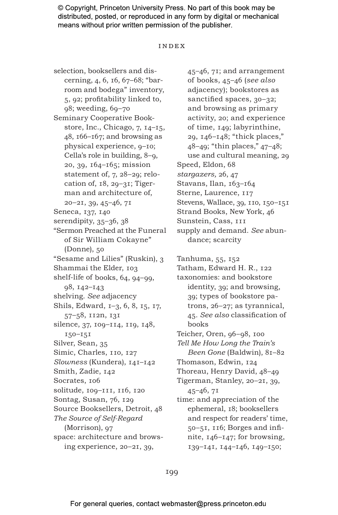#### Index

selection, booksellers and discerning, 4, 6, 16, 67–68; "barroom and bodega" inventory, 5, 92; profitability linked to, 98; weeding, 69–70 Seminary Cooperative Bookstore, Inc., Chicago, 7, 14–15, 48, 166–167; and browsing as physical experience, 9–10; Cella's role in building, 8–9, 20, 39, 164–165; mission statement of, 7, 28–29; relocation of, 18, 29–31; Tigerman and architecture of, 20–21, 39, 45–46, 71 Seneca, 137, 140 serendipity, 35–36, 38 "Sermon Preached at the Funeral of Sir William Cokayne" (Donne), 50 "Sesame and Lilies" (Ruskin), 3 Shammai the Elder, 103 shelf-life of books, 64, 94–99, 98, 142–143 shelving. *See* adjacency Shils, Edward, 1–3, 6, 8, 15, 17, 57–58, 112n, 131 silence, 37, 109–114, 119, 148, 150–151 Silver, Sean, 35 Simic, Charles, 110, 127 *Slowness* (Kundera), 141–142 Smith, Zadie, 142 Socrates, 106 solitude, 109–111, 116, 120 Sontag, Susan, 76, 129 Source Booksellers, Detroit, 48 *The Source of Self-Regard* (Morrison), 97 space: architecture and browsing experience, 20–21, 39,

45–46, 71; and arrangement of books, 45–46 (*see also* adjacency); bookstores as sanctified spaces, 30–32; and browsing as primary activity, 20; and experience of time, 149; labyrinthine, 29, 146–148; "thick places," 48–49; "thin places," 47–48; use and cultural meaning, 29 Speed, Eldon, 68 *stargazers,* 26, 47 Stavans, Ilan, 163-164 Sterne, Laurence, 117 Stevens, Wallace, 39, 110, 150–151 Strand Books, New York, 46 Sunstein, Cass, 111 supply and demand. *See* abundance; scarcity Tanhuma, 55, 152 Tatham, Edward H. R., 122 taxonomies: and bookstore identity, 39; and browsing, 39; types of bookstore patrons, 26–27; as tyrannical, 45. *See also* classification of books Teicher, Oren, 96–98, 100 *Tell Me How Long the Train's Been Gone* (Baldwin), 81–82 Thomason, Edwin, 124 Thoreau, Henry David, 48–49 Tigerman, Stanley, 20–21, 39, 45–46, 71 time: and appreciation of the ephemeral, 18; booksellers and respect for readers' time, 50–51, 116; Borges and infinite, 146–147; for browsing, 139–141, 144–146, 149–150;